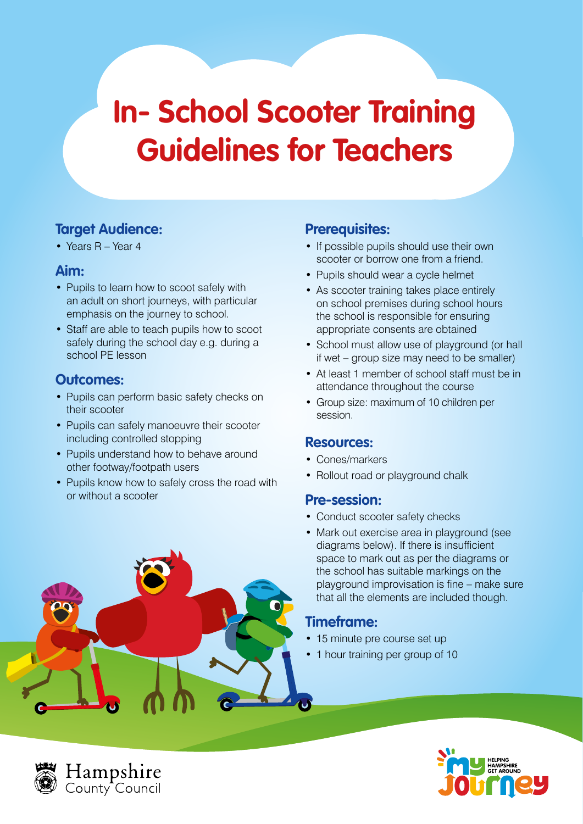# **In- School Scooter Training Guidelines for Teachers**

## **Target Audience:**

• Years R – Year 4

### **Aim:**

- Pupils to learn how to scoot safely with an adult on short journeys, with particular emphasis on the journey to school.
- Staff are able to teach pupils how to scoot safely during the school day e.g. during a school PE lesson

## **Outcomes:**

- Pupils can perform basic safety checks on their scooter
- Pupils can safely manoeuvre their scooter including controlled stopping
- Pupils understand how to behave around other footway/footpath users
- Pupils know how to safely cross the road with or without a scooter

## **Prerequisites:**

- If possible pupils should use their own scooter or borrow one from a friend.
- Pupils should wear a cycle helmet
- As scooter training takes place entirely on school premises during school hours the school is responsible for ensuring appropriate consents are obtained
- School must allow use of playground (or hall if wet – group size may need to be smaller)
- At least 1 member of school staff must be in attendance throughout the course
- Group size: maximum of 10 children per session.

## **Resources:**

- Cones/markers
- Rollout road or playground chalk

#### **Pre-session:**

- Conduct scooter safety checks
- Mark out exercise area in playground (see diagrams below). If there is insufficient space to mark out as per the diagrams or the school has suitable markings on the playground improvisation is fine – make sure that all the elements are included though.

## **Timeframe:**

- 15 minute pre course set up
- 1 hour training per group of 10





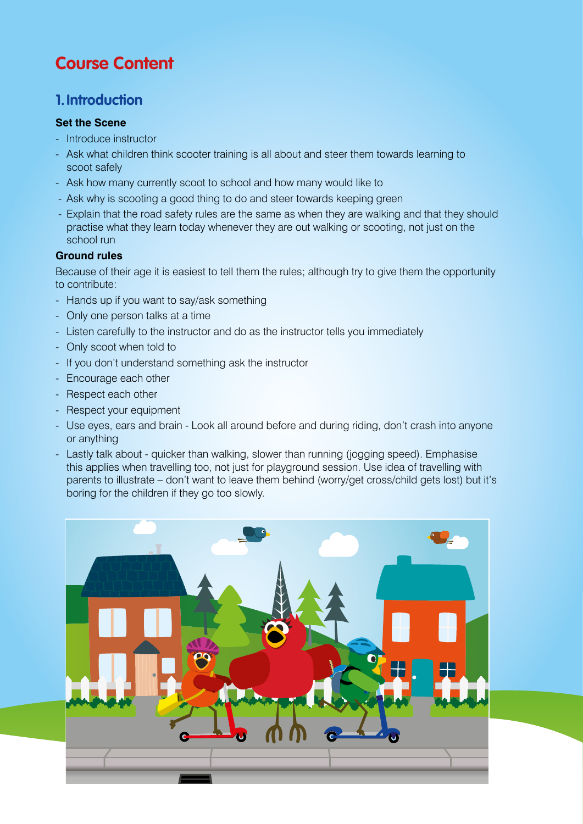## **Course Content**

## **1.Introduction**

#### **Set the Scene**

- Introduce instructor
- Ask what children think scooter training is all about and steer them towards learning to scoot safely
- Ask how many currently scoot to school and how many would like to
- Ask why is scooting a good thing to do and steer towards keeping green
- Explain that the road safety rules are the same as when they are walking and that they should practise what they learn today whenever they are out walking or scooting, not just on the school run

#### **Ground rules**

Because of their age it is easiest to tell them the rules; although try to give them the opportunity to contribute:

- Hands up if you want to say/ask something
- Only one person talks at a time
- Listen carefully to the instructor and do as the instructor tells you immediately
- Only scoot when told to
- If you don't understand something ask the instructor
- Encourage each other
- Respect each other
- Respect your equipment
- Use eyes, ears and brain Look all around before and during riding, don't crash into anyone or anything
- Lastly talk about quicker than walking, slower than running (jogging speed). Emphasise this applies when travelling too, not just for playground session. Use idea of travelling with parents to illustrate – don't want to leave them behind (worry/get cross/child gets lost) but it's boring for the children if they go too slowly.

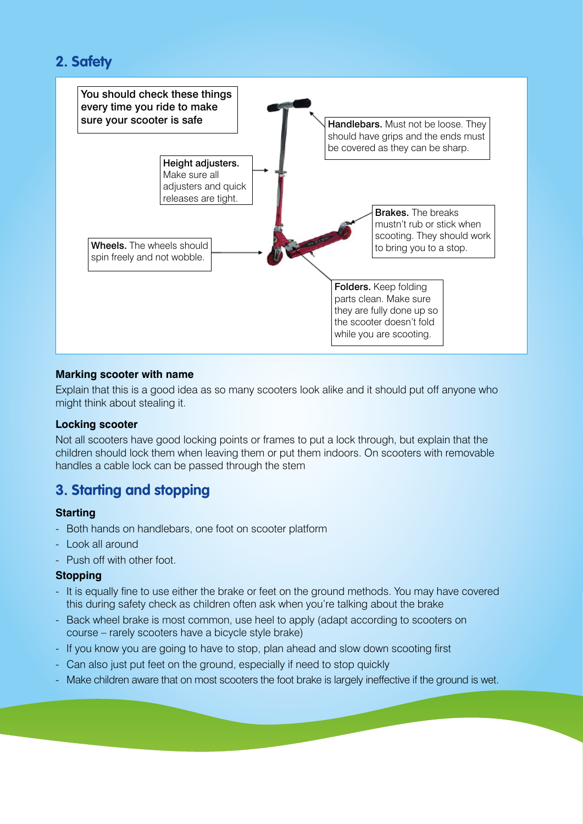## **2. Safety**



#### **Marking scooter with name**

Explain that this is a good idea as so many scooters look alike and it should put off anyone who might think about stealing it.

#### **Locking scooter**

Not all scooters have good locking points or frames to put a lock through, but explain that the children should lock them when leaving them or put them indoors. On scooters with removable handles a cable lock can be passed through the stem

## **3. Starting and stopping**

#### **Starting**

- Both hands on handlebars, one foot on scooter platform
- Look all around
- Push off with other foot.

#### **Stopping**

- It is equally fine to use either the brake or feet on the ground methods. You may have covered this during safety check as children often ask when you're talking about the brake
- Back wheel brake is most common, use heel to apply (adapt according to scooters on course – rarely scooters have a bicycle style brake)
- If you know you are going to have to stop, plan ahead and slow down scooting first
- Can also just put feet on the ground, especially if need to stop quickly
- Make children aware that on most scooters the foot brake is largely ineffective if the ground is wet.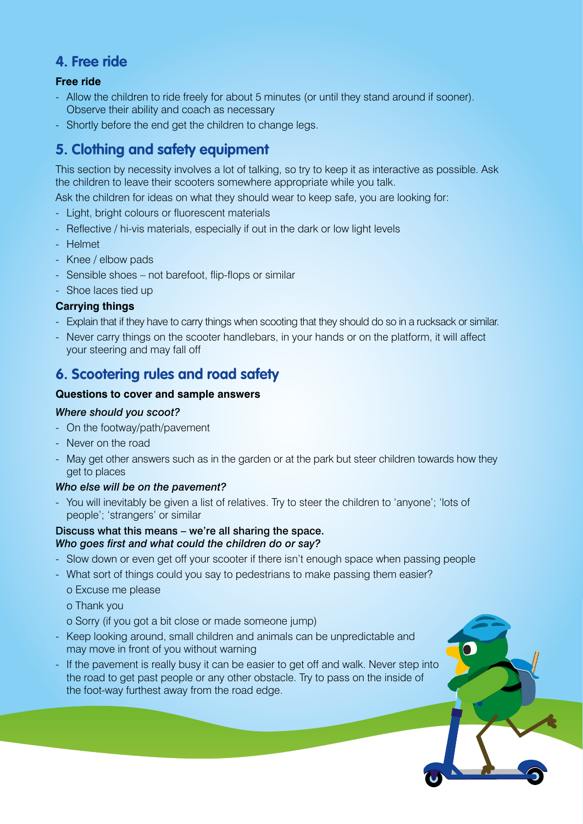## **4. Free ride**

#### **Free ride**

- Allow the children to ride freely for about 5 minutes (or until they stand around if sooner). Observe their ability and coach as necessary
- Shortly before the end get the children to change legs.

## **5. Clothing and safety equipment**

This section by necessity involves a lot of talking, so try to keep it as interactive as possible. Ask the children to leave their scooters somewhere appropriate while you talk.

Ask the children for ideas on what they should wear to keep safe, you are looking for:

- Light, bright colours or fluorescent materials
- Reflective / hi-vis materials, especially if out in the dark or low light levels
- Helmet
- Knee / elbow pads
- Sensible shoes not barefoot, flip-flops or similar
- Shoe laces tied up

#### **Carrying things**

- Explain that if they have to carry things when scooting that they should do so in a rucksack or similar.
- Never carry things on the scooter handlebars, in your hands or on the platform, it will affect your steering and may fall off

## **6. Scootering rules and road safety**

#### **Questions to cover and sample answers**

#### *Where should you scoot?*

- On the footway/path/pavement
- Never on the road
- May get other answers such as in the garden or at the park but steer children towards how they get to places

#### *Who else will be on the pavement?*

- You will inevitably be given a list of relatives. Try to steer the children to 'anyone'; 'lots of people'; 'strangers' or similar

#### Discuss what this means – we're all sharing the space. *Who goes first and what could the children do or say?*

- Slow down or even get off your scooter if there isn't enough space when passing people
- What sort of things could you say to pedestrians to make passing them easier?
	- o Excuse me please
	- o Thank you
	- o Sorry (if you got a bit close or made someone jump)
- Keep looking around, small children and animals can be unpredictable and may move in front of you without warning
- If the pavement is really busy it can be easier to get off and walk. Never step into the road to get past people or any other obstacle. Try to pass on the inside of the foot-way furthest away from the road edge.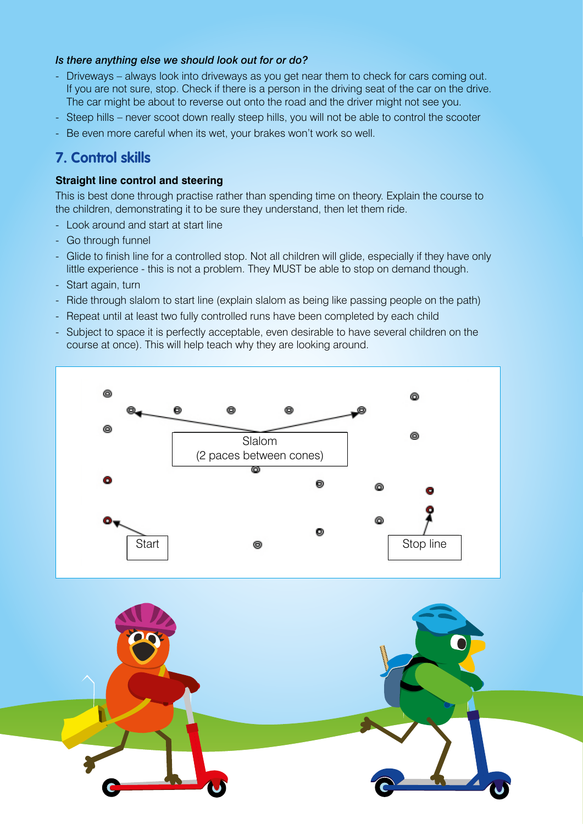#### *Is there anything else we should look out for or do?*

- Driveways always look into driveways as you get near them to check for cars coming out. If you are not sure, stop. Check if there is a person in the driving seat of the car on the drive. The car might be about to reverse out onto the road and the driver might not see you.
- Steep hills never scoot down really steep hills, you will not be able to control the scooter
- Be even more careful when its wet, your brakes won't work so well.

## **7. Control skills**

#### **Straight line control and steering**

This is best done through practise rather than spending time on theory. Explain the course to the children, demonstrating it to be sure they understand, then let them ride.

- Look around and start at start line
- Go through funnel
- Glide to finish line for a controlled stop. Not all children will glide, especially if they have only little experience - this is not a problem. They MUST be able to stop on demand though.
- Start again, turn
- Ride through slalom to start line (explain slalom as being like passing people on the path)
- Repeat until at least two fully controlled runs have been completed by each child
- Subject to space it is perfectly acceptable, even desirable to have several children on the course at once). This will help teach why they are looking around.



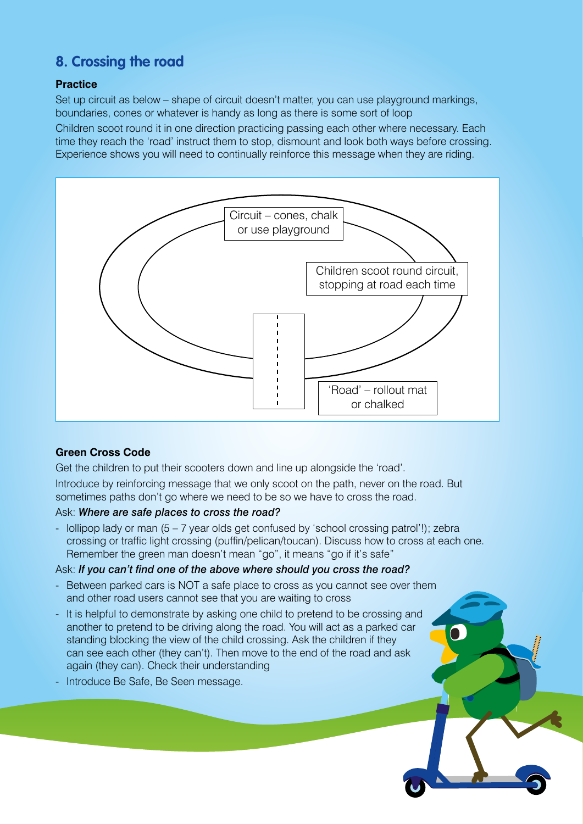## **8. Crossing the road**

#### **Practice**

Set up circuit as below – shape of circuit doesn't matter, you can use playground markings, boundaries, cones or whatever is handy as long as there is some sort of loop

Children scoot round it in one direction practicing passing each other where necessary. Each time they reach the 'road' instruct them to stop, dismount and look both ways before crossing. Experience shows you will need to continually reinforce this message when they are riding.



#### **Green Cross Code**

Get the children to put their scooters down and line up alongside the 'road'. Introduce by reinforcing message that we only scoot on the path, never on the road. But sometimes paths don't go where we need to be so we have to cross the road.

#### Ask: *Where are safe places to cross the road?*

- lollipop lady or man (5 – 7 year olds get confused by 'school crossing patrol'!); zebra crossing or traffic light crossing (puffin/pelican/toucan). Discuss how to cross at each one. Remember the green man doesn't mean "go", it means "go if it's safe"

#### Ask: *If you can't find one of the above where should you cross the road?*

- Between parked cars is NOT a safe place to cross as you cannot see over them and other road users cannot see that you are waiting to cross
- It is helpful to demonstrate by asking one child to pretend to be crossing and another to pretend to be driving along the road. You will act as a parked car standing blocking the view of the child crossing. Ask the children if they can see each other (they can't). Then move to the end of the road and ask again (they can). Check their understanding
- Introduce Be Safe, Be Seen message.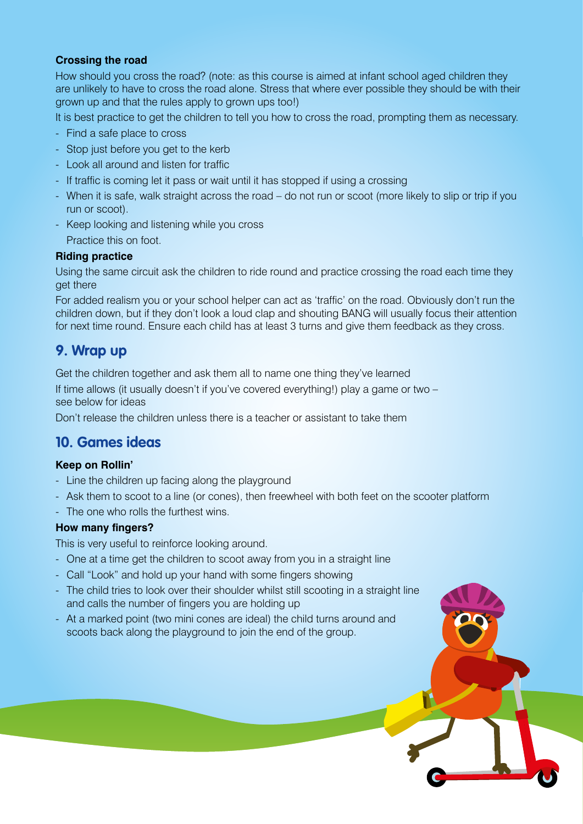#### **Crossing the road**

How should you cross the road? (note: as this course is aimed at infant school aged children they are unlikely to have to cross the road alone. Stress that where ever possible they should be with their grown up and that the rules apply to grown ups too!)

It is best practice to get the children to tell you how to cross the road, prompting them as necessary.

- Find a safe place to cross
- Stop just before you get to the kerb
- Look all around and listen for traffic
- If traffic is coming let it pass or wait until it has stopped if using a crossing
- When it is safe, walk straight across the road do not run or scoot (more likely to slip or trip if you run or scoot).
- Keep looking and listening while you cross Practice this on foot.

#### **Riding practice**

Using the same circuit ask the children to ride round and practice crossing the road each time they get there

For added realism you or your school helper can act as 'traffic' on the road. Obviously don't run the children down, but if they don't look a loud clap and shouting BANG will usually focus their attention for next time round. Ensure each child has at least 3 turns and give them feedback as they cross.

## **9. Wrap up**

Get the children together and ask them all to name one thing they've learned

If time allows (it usually doesn't if you've covered everything!) play a game or two – see below for ideas

Don't release the children unless there is a teacher or assistant to take them

## **10. Games ideas**

#### **Keep on Rollin'**

- Line the children up facing along the playground
- Ask them to scoot to a line (or cones), then freewheel with both feet on the scooter platform
- The one who rolls the furthest wins.

#### **How many fingers?**

This is very useful to reinforce looking around.

- One at a time get the children to scoot away from you in a straight line
- Call "Look" and hold up your hand with some fingers showing
- The child tries to look over their shoulder whilst still scooting in a straight line and calls the number of fingers you are holding up
- At a marked point (two mini cones are ideal) the child turns around and scoots back along the playground to join the end of the group.